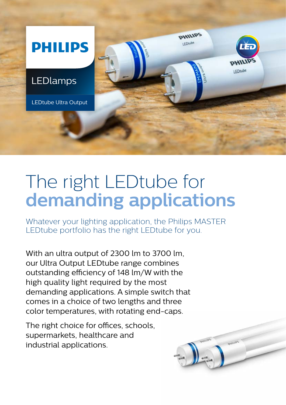

## The right LEDtube for **demanding applications**

Whatever your lighting application, the Philips MASTER LEDtube portfolio has the right LEDtube for you.

With an ultra output of 2300 lm to 3700 lm, our Ultra Output LEDtube range combines outstanding efficiency of 148 lm/W with the high quality light required by the most demanding applications. A simple switch that comes in a choice of two lengths and three color temperatures, with rotating end-caps.

The right choice for offices, schools, supermarkets, healthcare and industrial applications.